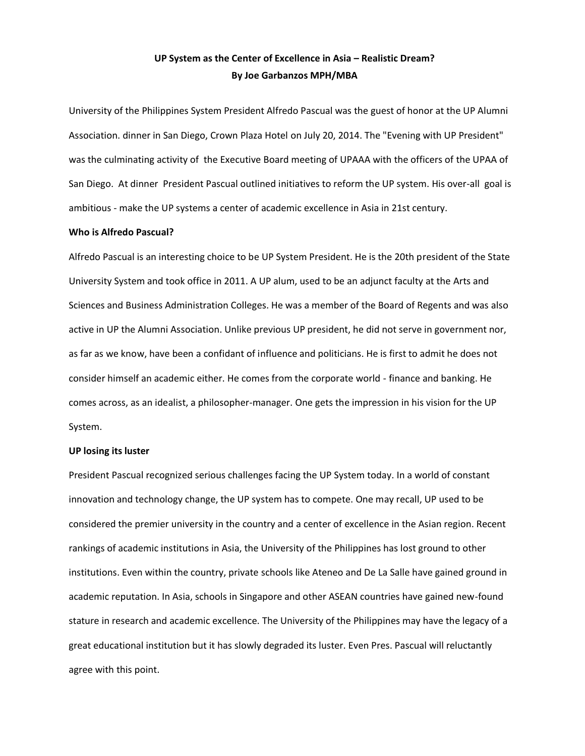# **UP System as the Center of Excellence in Asia – Realistic Dream? By Joe Garbanzos MPH/MBA**

University of the Philippines System President Alfredo Pascual was the guest of honor at the UP Alumni Association. dinner in San Diego, Crown Plaza Hotel on July 20, 2014. The "Evening with UP President" was the culminating activity of the Executive Board meeting of UPAAA with the officers of the UPAA of San Diego. At dinner President Pascual outlined initiatives to reform the UP system. His over-all goal is ambitious - make the UP systems a center of academic excellence in Asia in 21st century.

## **Who is Alfredo Pascual?**

Alfredo Pascual is an interesting choice to be UP System President. He is the 20th president of the State University System and took office in 2011. A UP alum, used to be an adjunct faculty at the Arts and Sciences and Business Administration Colleges. He was a member of the Board of Regents and was also active in UP the Alumni Association. Unlike previous UP president, he did not serve in government nor, as far as we know, have been a confidant of influence and politicians. He is first to admit he does not consider himself an academic either. He comes from the corporate world - finance and banking. He comes across, as an idealist, a philosopher-manager. One gets the impression in his vision for the UP System.

## **UP losing its luster**

President Pascual recognized serious challenges facing the UP System today. In a world of constant innovation and technology change, the UP system has to compete. One may recall, UP used to be considered the premier university in the country and a center of excellence in the Asian region. Recent rankings of academic institutions in Asia, the University of the Philippines has lost ground to other institutions. Even within the country, private schools like Ateneo and De La Salle have gained ground in academic reputation. In Asia, schools in Singapore and other ASEAN countries have gained new-found stature in research and academic excellence. The University of the Philippines may have the legacy of a great educational institution but it has slowly degraded its luster. Even Pres. Pascual will reluctantly agree with this point.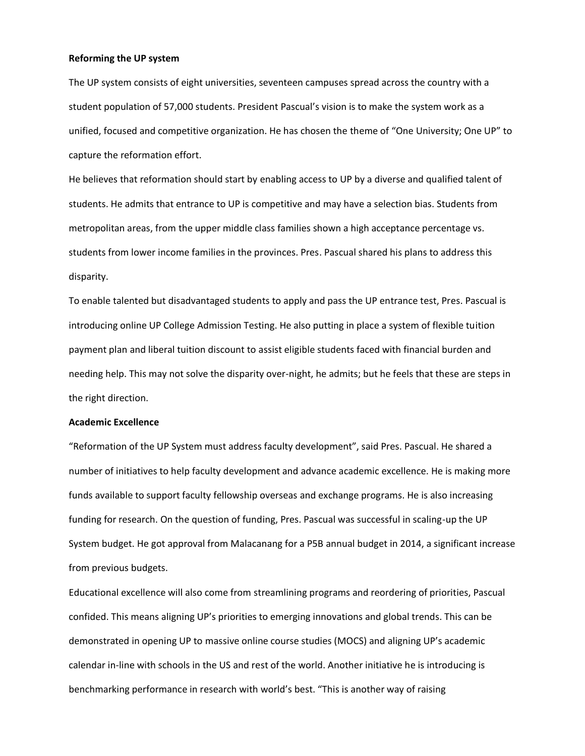## **Reforming the UP system**

The UP system consists of eight universities, seventeen campuses spread across the country with a student population of 57,000 students. President Pascual's vision is to make the system work as a unified, focused and competitive organization. He has chosen the theme of "One University; One UP" to capture the reformation effort.

He believes that reformation should start by enabling access to UP by a diverse and qualified talent of students. He admits that entrance to UP is competitive and may have a selection bias. Students from metropolitan areas, from the upper middle class families shown a high acceptance percentage vs. students from lower income families in the provinces. Pres. Pascual shared his plans to address this disparity.

To enable talented but disadvantaged students to apply and pass the UP entrance test, Pres. Pascual is introducing online UP College Admission Testing. He also putting in place a system of flexible tuition payment plan and liberal tuition discount to assist eligible students faced with financial burden and needing help. This may not solve the disparity over-night, he admits; but he feels that these are steps in the right direction.

#### **Academic Excellence**

"Reformation of the UP System must address faculty development", said Pres. Pascual. He shared a number of initiatives to help faculty development and advance academic excellence. He is making more funds available to support faculty fellowship overseas and exchange programs. He is also increasing funding for research. On the question of funding, Pres. Pascual was successful in scaling-up the UP System budget. He got approval from Malacanang for a P5B annual budget in 2014, a significant increase from previous budgets.

Educational excellence will also come from streamlining programs and reordering of priorities, Pascual confided. This means aligning UP's priorities to emerging innovations and global trends. This can be demonstrated in opening UP to massive online course studies (MOCS) and aligning UP's academic calendar in-line with schools in the US and rest of the world. Another initiative he is introducing is benchmarking performance in research with world's best. "This is another way of raising